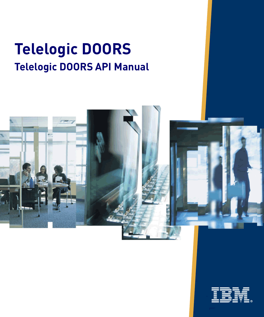# **Telelogic DOORS Telelogic DOORS API Manual**



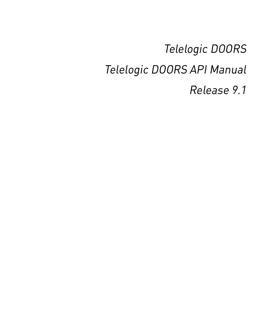# *Telelogic DOORS Telelogic DOORS API Manual Release 9.1*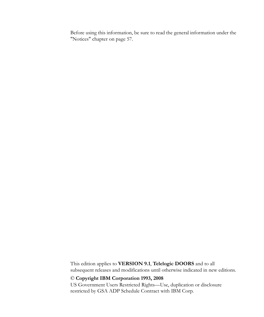Before using this information, be sure to read the general information under the ["Notices" chapter on page 57.](#page-64-0)

This edition applies to **VERSION 9.1**, **Telelogic DOORS** and to all subsequent releases and modifications until otherwise indicated in new editions.

#### © **Copyright IBM Corporation 1993, 2008**

US Government Users Restricted Rights—Use, duplication or disclosure restricted by GSA ADP Schedule Contract with IBM Corp.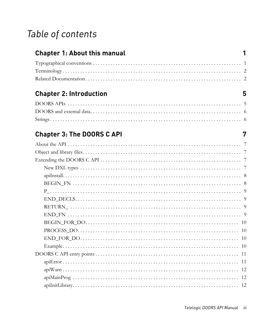## Table of contents

| <b>Chapter 1: About this manual</b> | 1 |
|-------------------------------------|---|
|                                     |   |
|                                     |   |
|                                     |   |
| <b>Chapter 2: Introduction</b>      | 5 |
|                                     |   |
|                                     |   |
|                                     |   |
| <b>Chapter 3: The DOORS C API</b>   | 7 |
|                                     |   |
|                                     |   |
|                                     |   |
|                                     |   |
|                                     |   |
|                                     |   |
|                                     |   |
|                                     |   |
|                                     |   |
|                                     |   |
|                                     |   |
|                                     |   |
|                                     |   |
|                                     |   |
|                                     |   |
|                                     |   |
|                                     |   |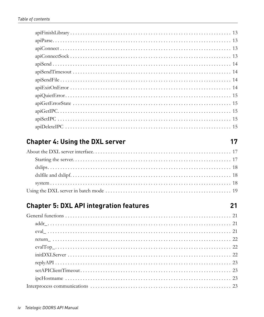## **Chapter 4: Using the DXL server**

17

21

## **Chapter 5: DXL API integration features**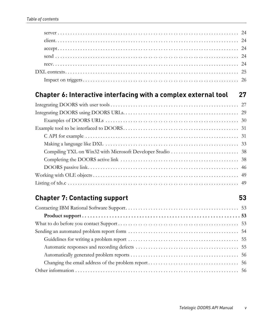| $accept$ $24$ |  |
|---------------|--|
|               |  |
|               |  |
|               |  |
|               |  |
|               |  |

## **[Chapter 6: Interactive interfacing with a complex external tool 27](#page-34-0)**

## **[Chapter 7: Contacting support 53](#page-60-0)**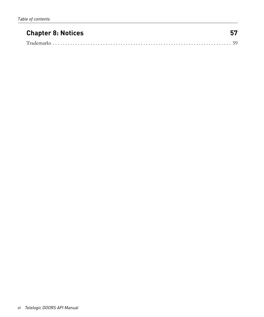## **[Chapter 8: Notices 57](#page-64-1)** [Trademarks . . . . . . . . . . . . . . . . . . . . . . . . . . . . . . . . . . . . . . . . . . . . . . . . . . . . . . . . . . . . . . . . . . . . . . . 59](#page-66-0)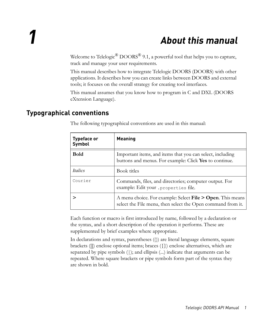## *1 About this manual*

<span id="page-8-0"></span>Welcome to Telelogic<sup>®</sup> DOORS<sup>®</sup> 9.1, a powerful tool that helps you to capture, track and manage your user requirements.

This manual describes how to integrate Telelogic DOORS (DOORS) with other applications. It describes how you can create links between DOORS and external tools; it focuses on the overall strategy for creating tool interfaces.

This manual assumes that you know how to program in C and DXL (DOORS eXtension Language).

## <span id="page-8-1"></span>**Typographical conventions**

The following typographical conventions are used in this manual:

| <b>Typeface or</b><br>Symbol | <b>Meaning</b>                                                                                                            |
|------------------------------|---------------------------------------------------------------------------------------------------------------------------|
| <b>Bold</b>                  | Important items, and items that you can select, including<br>buttons and menus. For example: Click Yes to continue.       |
| <i>Italics</i>               | Book titles                                                                                                               |
| Courier                      | Commands, files, and directories; computer output. For<br>example: Edit your .properties file.                            |
|                              | A menu choice. For example: Select File > Open. This means<br>select the File menu, then select the Open command from it. |

Each function or macro is first introduced by name, followed by a declaration or the syntax, and a short description of the operation it performs. These are supplemented by brief examples where appropriate.

In declarations and syntax, parentheses (()) are literal language elements, square brackets ([]) enclose optional items; braces ({}) enclose alternatives, which are separated by pipe symbols (|); and ellipsis (...) indicate that arguments can be repeated. Where square brackets or pipe symbols form part of the syntax they are shown in bold.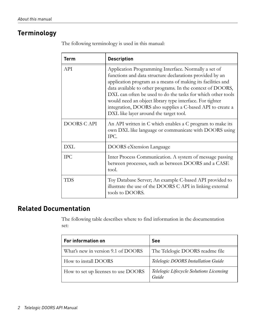## <span id="page-9-0"></span>**Terminology**

| Term              | <b>Description</b>                                                                                                                                                                                                                                                                                                                                                                                                                                                               |
|-------------------|----------------------------------------------------------------------------------------------------------------------------------------------------------------------------------------------------------------------------------------------------------------------------------------------------------------------------------------------------------------------------------------------------------------------------------------------------------------------------------|
| API               | Application Programming Interface. Normally a set of<br>functions and data structure declarations provided by an<br>application program as a means of making its facilities and<br>data available to other programs. In the context of DOORS,<br>DXL can often be used to do the tasks for which other tools<br>would need an object library type interface. For tighter<br>integration, DOORS also supplies a C-based API to create a<br>DXL like layer around the target tool. |
| <b>DOORS CAPI</b> | An API written in C which enables a C program to make its<br>own DXL like language or communicate with DOORS using<br>TPC                                                                                                                                                                                                                                                                                                                                                        |
| DXL               | <b>DOORS</b> eXtension Language                                                                                                                                                                                                                                                                                                                                                                                                                                                  |
| <b>IPC</b>        | Inter Process Communication. A system of message passing<br>between processes, such as between DOORS and a CASE<br>tool.                                                                                                                                                                                                                                                                                                                                                         |
| <b>TDS</b>        | Toy Database Server; An example C-based API provided to<br>illustrate the use of the DOORS C API in linking external<br>tools to DOORS.                                                                                                                                                                                                                                                                                                                                          |

The following terminology is used in this manual:

## <span id="page-9-1"></span>**Related Documentation**

The following table describes where to find information in the documentation set:

| For information on                  | <b>See</b>                                       |
|-------------------------------------|--------------------------------------------------|
| What's new in version 9.1 of DOORS  | The Telelogic DOORS readme file                  |
| How to install DOORS                | Telelogic DOORS Installation Guide               |
| How to set up licenses to use DOORS | Telelogic Lifecycle Solutions Licensing<br>Guide |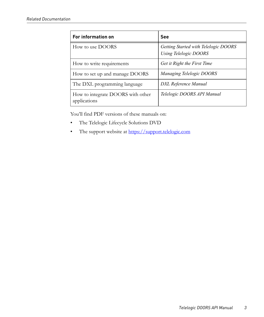| For information on                                | See                                                           |
|---------------------------------------------------|---------------------------------------------------------------|
| How to use DOORS                                  | Getting Started with Telelogic DOORS<br>Using Telelogic DOORS |
| How to write requirements                         | Get it Right the First Time                                   |
| How to set up and manage DOORS                    | Managing Telelogic DOORS                                      |
| The DXL programming language                      | DXL Reference Manual                                          |
| How to integrate DOORS with other<br>applications | Telelogic DOORS API Manual                                    |

You'll find PDF versions of these manuals on:

- The Telelogic Lifecycle Solutions DVD
- The support website at https://support.telelogic.com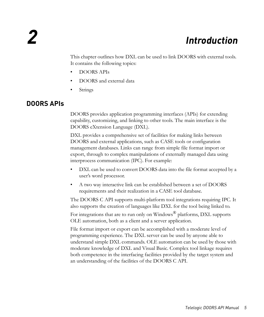# <span id="page-12-0"></span>*2 Introduction*

This chapter outlines how DXL can be used to link DOORS with external tools. It contains the following topics:

- [DOORS APIs](#page-12-1)
- [DOORS and external data](#page-13-0)
- **[Strings](#page-13-1)**

## <span id="page-12-1"></span>**DOORS APIs**

DOORS provides application programming interfaces (APIs) for extending capability, customizing, and linking to other tools. The main interface is the DOORS eXtension Language (DXL).

DXL provides a comprehensive set of facilities for making links between DOORS and external applications, such as CASE tools or configuration management databases. Links can range from simple file format import or export, through to complex manipulations of externally managed data using interprocess communication (IPC). For example:

- DXL can be used to convert DOORS data into the file format accepted by a user's word processor.
- A two way interactive link can be established between a set of DOORS requirements and their realization in a CASE tool database.

The DOORS C API supports multi-platform tool integrations requiring IPC. It also supports the creation of languages like DXL for the tool being linked to.

For integrations that are to run only on Windows<sup>®</sup> platforms, DXL supports OLE automation, both as a client and a server application.

File format import or export can be accomplished with a moderate level of programming experience. The DXL server can be used by anyone able to understand simple DXL commands. OLE automation can be used by those with moderate knowledge of DXL and Visual Basic. Complex tool linkage requires both competence in the interfacing facilities provided by the target system and an understanding of the facilities of the DOORS C API.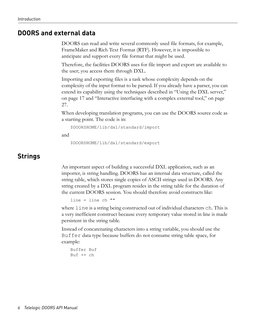## <span id="page-13-0"></span>**DOORS and external data**

DOORS can read and write several commonly used file formats, for example, FrameMaker and Rich Text Format (RTF). However, it is impossible to anticipate and support every file format that might be used.

Therefore, the facilities DOORS uses for file import and export are available to the user; you access them through DXL.

Importing and exporting files is a task whose complexity depends on the complexity of the input format to be parsed. If you already have a parser, you can extend its capability using the techniques described in ["Using the DXL server,"](#page-24-3)  [on page 17](#page-24-3) and ["Interactive interfacing with a complex external tool," on page](#page-34-2)  [27](#page-34-2).

When developing translation programs, you can use the DOORS source code as a starting point. The code is in:

\$DOORSHOME/lib/dxl/standard/import

and

\$DOORSHOME/lib/dxl/standard/export

## <span id="page-13-1"></span>**Strings**

An important aspect of building a successful DXL application, such as an importer, is string handling. DOORS has an internal data structure, called the string table, which stores single copies of ASCII strings used in DOORS. Any string created by a DXL program resides in the string table for the duration of the current DOORS session. You should therefore avoid constructs like:

```
line = line ch ""
```
where line is a string being constructed out of individual characters ch. This is a very inefficient construct because every temporary value stored in line is made persistent in the string table.

Instead of concatenating characters into a string variable, you should use the Buffer data type because buffers do not consume string table space, for example:

```
Buffer Buf
Buf += ch
```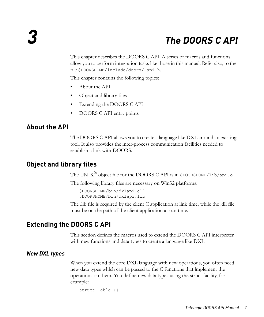## <span id="page-14-5"></span>*3 The DOORS C API*

<span id="page-14-0"></span>This chapter describes the DOORS C API. A series of macros and functions allow you to perform integration tasks like those in this manual. Refer also, to the file \$DOORSHOME/include/doors/ api.h.

This chapter contains the following topics:

- [About the API](#page-14-1)
- [Object and library files](#page-14-2)
- [Extending the DOORS C API](#page-14-3)
- [DOORS C API entry points](#page-18-0)

## <span id="page-14-1"></span>**About the API**

The DOORS C API allows you to create a language like DXL around an existing tool. It also provides the inter-process communication facilities needed to establish a link with DOORS.

## <span id="page-14-2"></span>**Object and library files**

The UNIX $^{\circledR}$  object file for the DOORS C API is in \$DOORSHOME/lib/api.o.

The following library files are necessary on Win32 platforms:

\$DOORSHOME/bin/dxlapi.dll \$DOORSHOME/bin/dxlapi.lib

The .lib file is required by the client C application at link time, while the .dll file must be on the path of the client application at run time.

## <span id="page-14-3"></span>**Extending the DOORS C API**

This section defines the macros used to extend the DOORS C API interpreter with new functions and data types to create a language like DXL.

#### <span id="page-14-4"></span>*New DXL types*

When you extend the core DXL language with new operations, you often need new data types which can be passed to the C functions that implement the operations on them. You define new data types using the struct facility, for example:

```
struct Table {}
```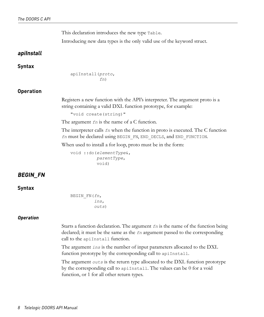This declaration introduces the new type Table.

Introducing new data types is the only valid use of the keyword struct.

#### <span id="page-15-0"></span>*apiInstall*

#### **Syntax**

apiInstall(*proto*, *fn*)

#### **Operation**

Registers a new function with the API's interpreter. The argument proto is a string containing a valid DXL function prototype, for example:

"void create(string)"

The argument *fn* is the name of a C function.

The interpreter calls *fn* when the function in proto is executed. The C function *fn* must be declared using BEGIN\_FN, END\_DECLS, and END\_FUNCTION.

When used to install a for loop, proto must be in the form:

```
void ::do(elementType&,
            parentType,
            void)
```
### <span id="page-15-1"></span>*BEGIN\_FN*

#### **Syntax**

```
BEGIN_FN(fn,
            ins,
            outs)
```
#### *Operation*

Starts a function declaration. The argument *fn* is the name of the function being declared; it must be the same as the *fn* argument passed to the corresponding call to the apiInstall function.

The argument *ins* is the number of input parameters allocated to the DXL function prototype by the corresponding call to apiInstall.

The argument *outs* is the return type allocated to the DXL function prototype by the corresponding call to apiInstall. The values can be 0 for a void function, or 1 for all other return types.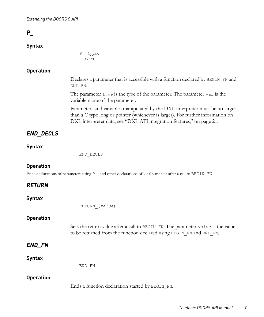## <span id="page-16-0"></span>*P\_*

#### **Syntax**

P\_(*type*, *var*)

#### **Operation**

Declares a parameter that is accessible with a function declared by BEGIN\_FN and END\_FN.

The parameter *type* is the type of the parameter. The parameter *var* is the variable name of the parameter.

Parameters and variables manipulated by the DXL interpreter must be no larger than a C type long or pointer (whichever is larger). For further information on DXL interpreter data, see ["DXL API integration features," on page 21](#page-28-4).

### <span id="page-16-1"></span>*END\_DECLS*

#### **Syntax**

END\_DECLS

#### **Operation**

Ends declarations of parameters using P\_, and other declarations of local variables after a call to BEGIN\_FN.

#### <span id="page-16-2"></span>*RETURN\_*

#### **Syntax**

RETURN\_(*value*)

#### **Operation**

Sets the return value after a call to BEGIN\_FN. The parameter *value* is the value to be returned from the function declared using BEGIN\_FN and END\_FN.

#### <span id="page-16-3"></span>*END\_FN*

#### **Syntax**

END\_FN

#### **Operation**

Ends a function declaration started by BEGIN\_FN.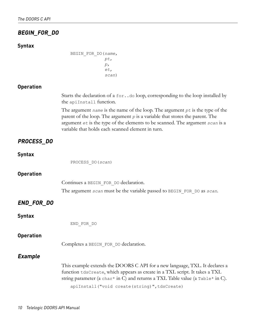## <span id="page-17-0"></span>*BEGIN\_FOR\_DO*

## **Syntax**

|  | BEGIN FOR DO (name, |
|--|---------------------|
|  | pt,                 |
|  | $\mathcal{D}$ ,     |
|  | et,                 |
|  | scan)               |

## **Operation**

<span id="page-17-3"></span><span id="page-17-2"></span><span id="page-17-1"></span>

| <b>Uperation</b>  |                                                                                                                                                                                                                                                                                                        |
|-------------------|--------------------------------------------------------------------------------------------------------------------------------------------------------------------------------------------------------------------------------------------------------------------------------------------------------|
|                   | Starts the declaration of a fordo loop, corresponding to the loop installed by<br>the apiInstall function.                                                                                                                                                                                             |
|                   | The argument name is the name of the loop. The argument $p t$ is the type of the<br>parent of the loop. The argument p is a variable that stores the parent. The<br>argument et is the type of the elements to be scanned. The argument scan is a<br>variable that holds each scanned element in turn. |
| PROCESS_DO        |                                                                                                                                                                                                                                                                                                        |
| <b>Syntax</b>     |                                                                                                                                                                                                                                                                                                        |
|                   | PROCESS DO (scan)                                                                                                                                                                                                                                                                                      |
| <b>Operation</b>  |                                                                                                                                                                                                                                                                                                        |
|                   | Continues a BEGIN FOR DO declaration.                                                                                                                                                                                                                                                                  |
|                   | The argument scan must be the variable passed to BEGIN FOR DO as scan.                                                                                                                                                                                                                                 |
| <b>END FOR DO</b> |                                                                                                                                                                                                                                                                                                        |
| <b>Syntax</b>     |                                                                                                                                                                                                                                                                                                        |
|                   | END_FOR_DO                                                                                                                                                                                                                                                                                             |
| <b>Operation</b>  |                                                                                                                                                                                                                                                                                                        |
|                   | Completes a BEGIN FOR DO declaration.                                                                                                                                                                                                                                                                  |
| <b>Example</b>    |                                                                                                                                                                                                                                                                                                        |
|                   | This example extends the DOORS C API for a new language, TXL. It declares a<br>function tdsCreate, which appears as create in a TXL script. It takes a TXL<br>string parameter (a char* in C) and returns a TXL Table value (a Table* in C).                                                           |
|                   | apiInstall("void create(string)", tdsCreate)                                                                                                                                                                                                                                                           |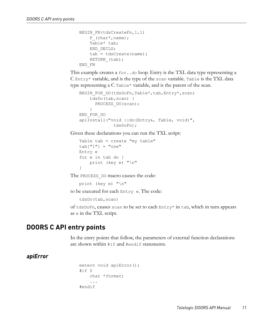```
BEGIN_FN(tdsCreateFn, 1, 1)
   P (char*,name);
    Table* tab; 
    END DECLS;
     tab = tdsCreate(name); 
    RETURN (tab);
END_FN
```
This example creates a for..do loop. Entry is the TXL data type representing a C Entry\* variable, and is the type of the scan variable. Table is the TXL data type representing a C Table\* variable, and is the parent of the scan.

```
BEGIN_FOR_DO(tdsDoFn,Table*,tab,Entry*,scan)
     tdsDo(tab,scan) {
      PROCESS DO(scan);
     }
END_FOR_DO
apiInstall("void ::do(Entry&, Table, void)", 
              tdsDoFn);
```
Given these declarations you can run the TXL script:

```
Table tab = create "my table"
tab['1"] = "one"Entry e
for e in tab do {
     print (key e) "\n"
}
```
The PROCESS DO macro causes the code:

```
print (key e) "\n"
```
to be executed for each Entry e. The code:

tdsDo(tab,scan)

of tdsDoFn, causes scan to be set to each Entry\* in tab, which in turn appears as e in the TXL script.

## <span id="page-18-0"></span>**DOORS C API entry points**

In the entry points that follow, the parameters of external function declarations are shown within #if and #endif statements.

#### <span id="page-18-1"></span>*apiError*

```
extern void apiError();
#if 0 char *format;
     ...
#endif
```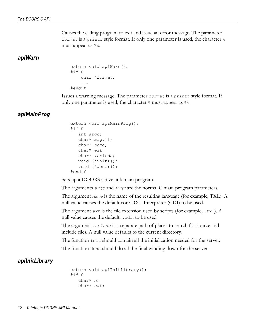Causes the calling program to exit and issue an error message. The parameter *format* is a printf style format. If only one parameter is used, the character % must appear as  $%$ .

#### <span id="page-19-0"></span>*apiWarn*

```
extern void apiWarn();
#if 0 
     char *format;
     ...
#endif
```
Issues a warning message. The parameter *format* is a printf style format. If only one parameter is used, the character % must appear as %%.

#### <span id="page-19-1"></span>*apiMainProg*

```
extern void apiMainProg();
#if 0 
    int argc; 
    char* argv[]; 
    char* name; 
    char* ext; 
    char* include; 
    void (*init)(); 
    void (*done)(); 
#endif
```
Sets up a DOORS active link main program.

The arguments *argc* and *argv* are the normal C main program parameters.

The argument *name* is the name of the resulting language (for example, TXL). A null value causes the default core DXL Interpreter (CDI) to be used.

The argument *ext* is the file extension used by scripts (for example, .txl). A null value causes the default, .cdi, to be used.

The argument *include* is a separate path of places to search for source and include files. A null value defaults to the current directory.

The function init should contain all the initialization needed for the server.

The function done should do all the final winding down for the server.

#### <span id="page-19-2"></span>*apiInitLibrary*

```
extern void apiInitLibrary();
#if 0 char* n; 
    char* ext;
```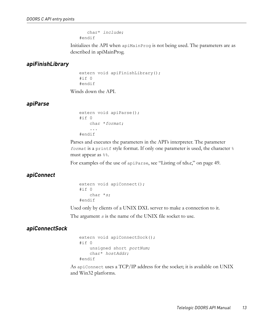char\* *include*; #endif

Initializes the API when apiMainProg is not being used. The parameters are as described in apiMainProg.

#### <span id="page-20-0"></span>*apiFinishLibrary*

```
extern void apiFinishLibrary();
#if 0#endif
```
Winds down the API.

#### <span id="page-20-1"></span>*apiParse*

```
extern void apiParse();
#if 0 
     char *format;
     ...
#endif
```
Parses and executes the parameters in the API's interpreter. The parameter *format* is a printf style format. If only one parameter is used, the character % must appear as  $%$ .

For examples of the use of apiParse, see ["Listing of tds.c," on page 49.](#page-56-2)

#### <span id="page-20-2"></span>*apiConnect*

```
extern void apiConnect();
#if 0 
     char *s; 
#endif
```
Used only by clients of a UNIX DXL server to make a connection to it.

The argument *s* is the name of the UNIX file socket to use.

#### <span id="page-20-3"></span>*apiConnectSock*

```
extern void apiConnectSock();
#if 0 
     unsigned short portNum; 
     char* hostAddr;
#endif
```
As apiConnect uses a TCP/IP address for the socket; it is available on UNIX and Win32 platforms.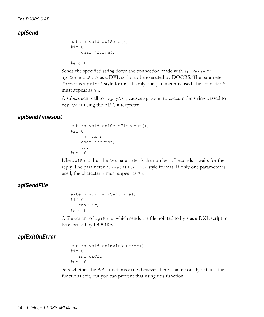#### <span id="page-21-0"></span>*apiSend*

```
extern void apiSend();
#if 0 
     char *format;
     ...
#endif
```
Sends the specified string down the connection made with apiParse or apiConnectSock as a DXL script to be executed by DOORS. The parameter *format* is a printf style format. If only one parameter is used, the character  $\frac{1}{6}$ must appear as  $%$ .

A subsequent call to replyAPI, causes apiSend to execute the string passed to replyAPI using the API's interpreter.

#### <span id="page-21-1"></span>*apiSendTimesout*

```
extern void apiSendTimesout();
#if 0 int tmt;
     char *format;
     ...
#endif
```
Like apiSend, but the *tmt* parameter is the number of seconds it waits for the reply. The parameter *format* is a *printf* style format. If only one parameter is used, the character  $\frac{1}{6}$  must appear as  $\frac{1}{6}$ .

#### <span id="page-21-2"></span>*apiSendFile*

```
extern void apiSendFile();
#if 0 char *f; 
#endif
```
A file variant of apiSend, which sends the file pointed to by *f* as a DXL script to be executed by DOORS.

#### <span id="page-21-3"></span>*apiExitOnError*

```
extern void apiExitOnError()
#if 0 
    int onOff;
#endif
```
Sets whether the API functions exit whenever there is an error. By default, the functions exit, but you can prevent that using this function.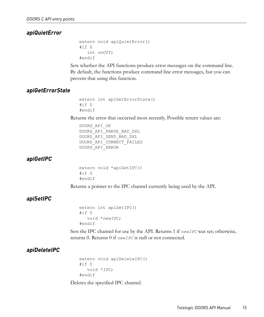#### <span id="page-22-0"></span>*apiQuietError*

```
extern void apiQuietError()
#if 0 
    int onOff;
#endif
```
Sets whether the API functions produce error messages on the command line. By default, the functions produce command line error messages, but you can prevent that using this function.

#### <span id="page-22-1"></span>*apiGetErrorState*

```
extern int apiGetErrorState()
#if 0#endif
```
Returns the error that occurred most recently. Possible return values are:

DOORS\_API\_OK DOORS\_API\_PARSE\_BAD\_DXL DOORS\_API\_SEND\_BAD\_DXL DOORS\_API\_CONNECT\_FAILED DOORS\_API\_ERROR

#### <span id="page-22-2"></span>*apiGetIPC*

extern void \*apiGetIPC() #if 0 #endif

Returns a pointer to the IPC channel currently being used by the API.

#### <span id="page-22-3"></span>*apiSetIPC*

```
extern int apiSetIPC()
#if 0 
    void *newIPC;
#endif
```
Sets the IPC channel for use by the API. Returns 1 if  $newIPC$  was set; otherwise, returns 0. Returns 0 if *newIPC* is null or not connected.

#### <span id="page-22-4"></span>*apiDeleteIPC*

```
extern void apiDeleteIPC()
#if 0 
    void *IPC;
#endif
```
Deletes the specified IPC channel.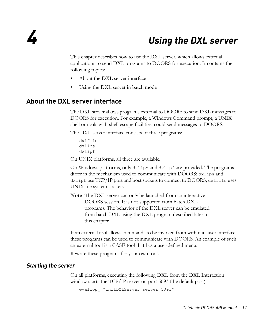## <span id="page-24-0"></span>*4 Using the DXL server*

<span id="page-24-3"></span>This chapter describes how to use the DXL server, which allows external applications to send DXL programs to DOORS for execution. It contains the following topics:

- [About the DXL server interface](#page-24-1)
- [Using the DXL server in batch mode](#page-26-0)

## <span id="page-24-1"></span>**About the DXL server interface**

The DXL server allows programs external to DOORS to send DXL messages to DOORS for execution. For example, a Windows Command prompt, a UNIX shell or tools with shell escape facilities, could send messages to DOORS.

The DXL server interface consists of three programs:

dxlfile dxlips dxlipf

On UNIX platforms, all three are available.

On Windows platforms, only dxlips and dxlipf are provided. The programs differ in the mechanism used to communicate with DOORS: dxlips and dxlipf use TCP/IP port and host sockets to connect to DOORS; dxlfile uses UNIX file system sockets.

**Note** The DXL server can only be launched from an interactive DOORS session. It is not supported from batch DXL programs. The behavior of the DXL server can be emulated from batch DXL using the DXL program described later in this chapter.

If an external tool allows commands to be invoked from within its user interface, these programs can be used to communicate with DOORS. An example of such an external tool is a CASE tool that has a user-defined menu.

Rewrite these programs for your own tool.

#### <span id="page-24-2"></span>*Starting the server*

On all platforms, executing the following DXL from the DXL Interaction window starts the TCP/IP server on port 5093 (the default port):

evalTop\_ "initDXLServer server 5093"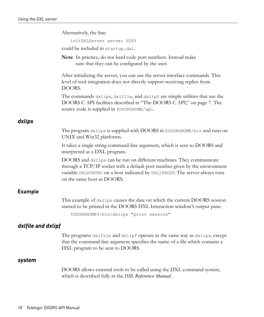<span id="page-25-2"></span><span id="page-25-1"></span><span id="page-25-0"></span>

|                    | Alternatively, the line:                                                                                                                                                                                                                                        |
|--------------------|-----------------------------------------------------------------------------------------------------------------------------------------------------------------------------------------------------------------------------------------------------------------|
|                    | initDXLServer server 5093                                                                                                                                                                                                                                       |
|                    | could be included in startup.dxl.                                                                                                                                                                                                                               |
|                    | Note In practice, do not hard code port numbers. Instead make<br>sure that they can be configured by the user.                                                                                                                                                  |
|                    | After initializing the server, you can use the server interface commands. This<br>level of tool integration does not directly support receiving replies from<br>DOORS.                                                                                          |
|                    | The commands dxlips, dxlfile, and dxlipf are simple utilities that use the<br>DOORS C API facilities described in "The DOORS C API," on page 7. The<br>source code is supplied in \$DOORSHOME/api.                                                              |
| dxlips             |                                                                                                                                                                                                                                                                 |
|                    | The program dxlips is supplied with DOORS in \$DOORSHOME/bin and runs on<br>UNIX and Win32 platforms.                                                                                                                                                           |
|                    | It takes a single string command-line argument, which is sent to DOORS and<br>interpreted as a DXL program.                                                                                                                                                     |
|                    | DOORS and dxlips can be run on different machines. They communicate<br>through a TCP/IP socket with a default port number given by the environment<br>variable DXLPORTNO on a host indicated by DXLIPHOST. The server always runs<br>on the same host as DOORS. |
| <b>Example</b>     |                                                                                                                                                                                                                                                                 |
|                    | This example of dxlips causes the date on which the current DOORS session<br>started to be printed in the DOORS DXL Interaction window's output pane.                                                                                                           |
|                    | %DOORSHOME%\bin\dxlips "print session"                                                                                                                                                                                                                          |
| dxlfile and dxlipf |                                                                                                                                                                                                                                                                 |
|                    | The programs dxlfile and dxlipf operate in the same way as dxlips, except<br>that the command-line argument specifies the name of a file which contains a<br>DXL program to be sent to DOORS.                                                                   |
| system             |                                                                                                                                                                                                                                                                 |
|                    | DOORS allows external tools to be called using the DXL command system,<br>which is described fully in the DXL Reference Manual.                                                                                                                                 |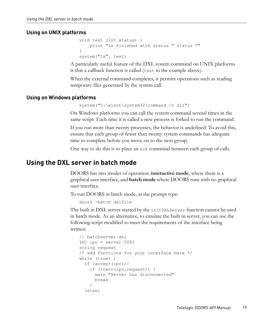#### **Using on UNIX platforms**

```
void test (int status) {
    print "ls finished with status " status ""
}
system("ls", test)
```
A particularly useful feature of the DXL system command on UNIX platforms is that a callback function is called (test in the example above).

When the external command completes, it permits operations such as reading temporary files generated by the system call.

#### **Using on Windows platforms**

system("C:\winnt\system32\command /c dir")

On Windows platforms you can call the system command several times in the same script. Each time it is called a new process is forked to run the command.

If you run more than twenty processes, the behavior is undefined. To avoid this, ensure that each group of fewer than twenty system commands has adequate time to complete before you move on to the next group.

One way to do this is to place an ack command between each group of calls.

### <span id="page-26-0"></span>**Using the DXL server in batch mode**

DOORS has two modes of operation: **interactive mode**, where there is a graphical user interface, and **batch mode** where DOORS runs with no graphical user interface.

To run DOORS in batch mode, at the prompt type:

```
doors -batch dxlfile
```
The built in DXL server started by the initDXLServer function cannot be used in batch mode. As an alternative, to emulate the built in server, you can use the following script modified to meet the requirements of the interface being written:

```
// batchserver.dxl
IPC ipc = server 5093
string request
/* add functions for your interface here */
while (true) {
   if (accept(ipc)){
     if (!recv(ipc,request)) {
       warn "Server has disconnected"
       break
 }
   }else{
```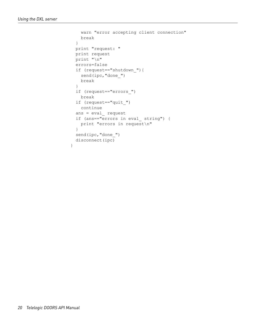```
 warn "error accepting client connection"
     break
   }
   print "request: "
   print request
  print "\n"
  errors=false
   if (request=="shutdown_"){
    send(ipc, "done ")
     break
   } 
   if (request=="errors_")
     break 
   if (request=="quit_")
     continue
   ans = eval_ request
   if (ans=="errors in eval_ string") {
     print "errors in request\n"
   }
  send(ipc, "done ")
   disconnect(ipc)
}
```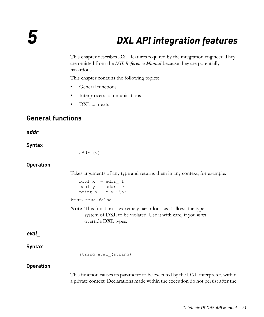<span id="page-28-2"></span>*addr\_*

# <span id="page-28-0"></span>*5 DXL API integration features*

<span id="page-28-4"></span>This chapter describes DXL features required by the integration engineer. They are omitted from the *DXL Reference Manual* because they are potentially hazardous.

This chapter contains the following topics:

- [General functions](#page-28-1)
- [Interprocess communications](#page-30-3)
- [DXL contexts](#page-32-0)

## <span id="page-28-1"></span>**General functions**

<span id="page-28-3"></span>

| <b>Syntax</b>    |                                                                                                                                                                        |
|------------------|------------------------------------------------------------------------------------------------------------------------------------------------------------------------|
|                  | addr(y)                                                                                                                                                                |
| <b>Operation</b> |                                                                                                                                                                        |
|                  | Takes arguments of any type and returns them in any context, for example:<br>bool $x = addr 1$                                                                         |
|                  | bool $y = addr_0$<br>print $x''''$ $y''\n\ln$                                                                                                                          |
|                  | Prints true false.                                                                                                                                                     |
|                  | <b>Note</b> This function is extremely hazardous, as it allows the type<br>system of DXL to be violated. Use it with care, if you must<br>override DXL types.          |
| eval             |                                                                                                                                                                        |
| <b>Syntax</b>    |                                                                                                                                                                        |
|                  | string eval (string)                                                                                                                                                   |
| <b>Operation</b> |                                                                                                                                                                        |
|                  | This function causes its parameter to be executed by the DXL interpreter, within<br>a private context. Declarations made within the execution do not persist after the |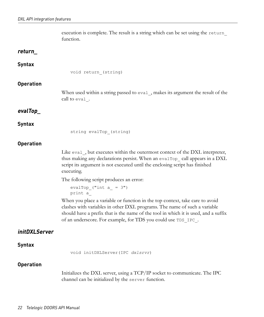execution is complete. The result is a string which can be set using the return\_ function.

#### <span id="page-29-0"></span>*return\_*

#### **Syntax**

void return\_(string)

#### **Operation**

When used within a string passed to eval, makes its argument the result of the call to eval\_.

#### <span id="page-29-1"></span>*evalTop\_*

#### **Syntax**

string evalTop\_(string)

#### **Operation**

Like eval, but executes within the outermost context of the DXL interpreter, thus making any declarations persist. When an evalTop\_ call appears in a DXL script its argument is not executed until the enclosing script has finished executing.

The following script produces an error:

 $evalTop_{1}("int a_{2} = 3")$ print a\_

When you place a variable or function in the top context, take care to avoid clashes with variables in other DXL programs. The name of such a variable should have a prefix that is the name of the tool in which it is used, and a suffix of an underscore. For example, for TDS you could use TDS\_IPC\_.

#### <span id="page-29-2"></span>*initDXLServer*

#### **Syntax**

void initDXLServer(IPC *dxlsrvr*)

#### **Operation**

Initializes the DXL server, using a TCP/IP socket to communicate. The IPC channel can be initialized by the server function.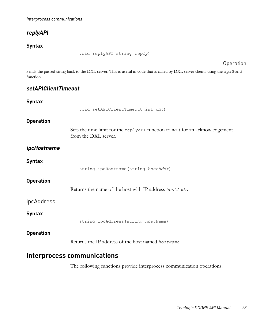#### <span id="page-30-0"></span>*replyAPI*

#### **Syntax**

void replyAPI(string *reply*)

#### Operation

Sends the passed string back to the DXL server. This is useful in code that is called by DXL server clients using the apiSend function.

#### <span id="page-30-1"></span>*setAPIClientTimeout*

#### **Syntax**

void setAPIClientTimeout(int *tmt*)

#### **Operation**

Sets the time limit for the replyAPI function to wait for an acknowledgement from the DXL server.

#### <span id="page-30-2"></span>*ipcHostname*

#### **Syntax**

string ipcHostname(string *hostAddr*)

#### **Operation**

Returns the name of the host with IP address *hostAddr*.

#### ipcAddress

#### **Syntax**

string ipcAddress(string *hostName*)

#### **Operation**

Returns the IP address of the host named *hostName*.

### <span id="page-30-3"></span>**Interprocess communications**

The following functions provide interprocess communication operations: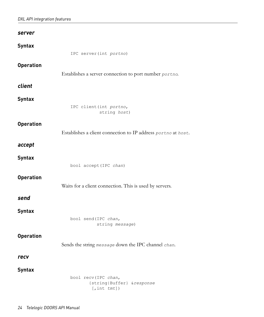<span id="page-31-4"></span><span id="page-31-3"></span><span id="page-31-2"></span><span id="page-31-1"></span><span id="page-31-0"></span>

| server           |                                                                        |
|------------------|------------------------------------------------------------------------|
| <b>Syntax</b>    |                                                                        |
|                  | IPC server (int portno)                                                |
| <b>Operation</b> |                                                                        |
|                  | Establishes a server connection to port number portno.                 |
| client           |                                                                        |
| <b>Syntax</b>    |                                                                        |
|                  | IPC client (int portno,<br>string host)                                |
| <b>Operation</b> |                                                                        |
|                  | Establishes a client connection to IP address portno at host.          |
| accept           |                                                                        |
| <b>Syntax</b>    |                                                                        |
|                  | bool accept (IPC chan)                                                 |
| <b>Operation</b> |                                                                        |
|                  | Waits for a client connection. This is used by servers.                |
| send             |                                                                        |
| <b>Syntax</b>    |                                                                        |
|                  | bool send(IPC chan,<br>string message)                                 |
| <b>Operation</b> |                                                                        |
|                  | Sends the string message down the IPC channel chan.                    |
| recv             |                                                                        |
| <b>Syntax</b>    |                                                                        |
|                  | bool recv(IPC chan,<br>{string Buffer} & response<br>$[, int$ $tmt]$ ) |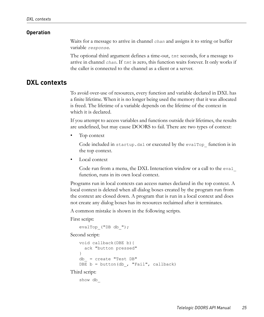#### **Operation**

Waits for a message to arrive in channel *chan* and assigns it to string or buffer variable *response*.

The optional third argument defines a time-out, *tmt* seconds, for a message to arrive in channel *chan*. If *tmt* is zero, this function waits forever. It only works if the caller is connected to the channel as a client or a server.

### <span id="page-32-0"></span>**DXL contexts**

To avoid over-use of resources, every function and variable declared in DXL has a finite lifetime. When it is no longer being used the memory that it was allocated is freed. The lifetime of a variable depends on the lifetime of the context in which it is declared.

If you attempt to access variables and functions outside their lifetimes, the results are undefined, but may cause DOORS to fail. There are two types of context:

Top context

Code included in startup.dxl or executed by the evalTop function is in the top context.

Local context

Code run from a menu, the DXL Interaction window or a call to the eval\_ function, runs in its own local context.

Programs run in local contexts can access names declared in the top context. A local context is deleted when all dialog boxes created by the program run from the context are closed down. A program that is run in a local context and does not create any dialog boxes has its resources reclaimed after it terminates.

A common mistake is shown in the following scripts.

First script:

```
evalTop ("DB db ");
```
Second script:

```
void callback(DBE b){
  ack "button pressed"
}
db = create "Test DB"DBE b = button(db, "Fall", callback)
```
Third script:

show db\_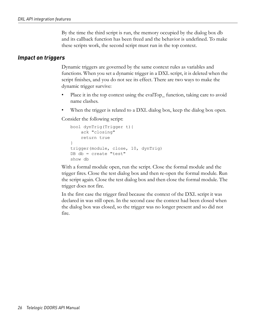By the time the third script is run, the memory occupied by the dialog box db and its callback function has been freed and the behavior is undefined. To make these scripts work, the second script must run in the top context.

#### <span id="page-33-0"></span>*Impact on triggers*

Dynamic triggers are governed by the same context rules as variables and functions. When you set a dynamic trigger in a DXL script, it is deleted when the script finishes, and you do not see its effect. There are two ways to make the dynamic trigger survive:

- Place it in the top context using the evalTop\_ function, taking care to avoid name clashes.
- When the trigger is related to a DXL dialog box, keep the dialog box open.

Consider the following script:

```
bool dynTrig(Trigger t){
     ack "closing"
    return true
}
trigger(module, close, 10, dynTrig)
DB db = create "test"
show db
```
With a formal module open, run the script. Close the formal module and the trigger fires. Close the test dialog box and then re-open the formal module. Run the script again. Close the test dialog box and then close the formal module. The trigger does not fire.

In the first case the trigger fired because the context of the DXL script it was declared in was still open. In the second case the context had been closed when the dialog box was closed, so the trigger was no longer present and so did not fire.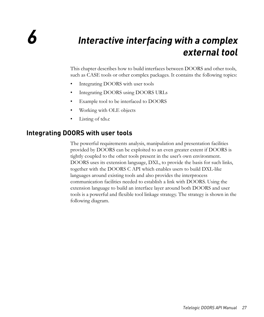## <span id="page-34-0"></span>*6 Interactive interfacing with a complex external tool*

<span id="page-34-2"></span>This chapter describes how to build interfaces between DOORS and other tools, such as CASE tools or other complex packages. It contains the following topics:

- [Integrating DOORS with user tools](#page-34-1)
- [Integrating DOORS using DOORS URLs](#page-36-0)
- [Example tool to be interfaced to DOORS](#page-38-0)
- [Working with OLE objects](#page-56-0)
- [Listing of tds.c](#page-56-1)

## <span id="page-34-1"></span>**Integrating DOORS with user tools**

The powerful requirements analysis, manipulation and presentation facilities provided by DOORS can be exploited to an even greater extent if DOORS is tightly coupled to the other tools present in the user's own environment. DOORS uses its extension language, DXL, to provide the basis for such links, together with the DOORS C API which enables users to build DXL-like languages around existing tools and also provides the interprocess communication facilities needed to establish a link with DOORS. Using the extension language to build an interface layer around both DOORS and user tools is a powerful and flexible tool linkage strategy. The strategy is shown in the following diagram.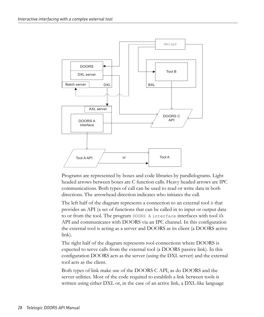

Programs are represented by boxes and code libraries by parallelograms. Light headed arrows between boxes are C function calls. Heavy headed arrows are IPC communications. Both types of call can be used to read or write data in both directions. The arrowhead direction indicates who initiates the call.

The left half of the diagram represents a connection to an external tool A that provides an API (a set of functions that can be called in to input or output data to or from the tool. The program DOORS A interface interfaces with tool A's API and communicates with DOORS via an IPC channel. In this configuration the external tool is acting as a server and DOORS as its client (a DOORS active link).

The right half of the diagram represents tool connections where DOORS is expected to serve calls from the external tool (a DOORS passive link). In this configuration DOORS acts as the server (using the DXL server) and the external tool acts as the client.

Both types of link make use of the DOORS C API, as do DOORS and the server utilities. Most of the code required to establish a link between tools is written using either DXL or, in the case of an active link, a DXL-like language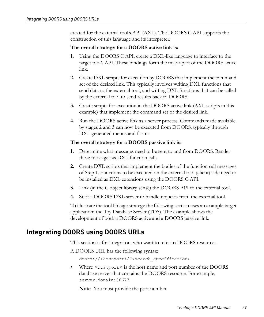created for the external tool's API (AXL). The DOORS C API supports the construction of this language and its interpreter.

#### **The overall strategy for a DOORS active link is:**

- **1.** Using the DOORS C API, create a DXL-like language to interface to the target tool's API. These bindings form the major part of the DOORS active link.
- **2.** Create DXL scripts for execution by DOORS that implement the command set of the desired link. This typically involves writing DXL functions that send data to the external tool, and writing DXL functions that can be called by the external tool to send results back to DOORS.
- **3.** Create scripts for execution in the DOORS active link (AXL scripts in this example) that implement the command set of the desired link.
- **4.** Run the DOORS active link as a server process. Commands made available by stages 2 and 3 can now be executed from DOORS, typically through DXL generated menus and forms.

#### **The overall strategy for a DOORS passive link is:**

- **1.** Determine what messages need to be sent to and from DOORS. Render these messages as DXL function calls.
- **2.** Create DXL scripts that implement the bodies of the function call messages of Step 1. Functions to be executed on the external tool (client) side need to be installed as DXL extensions using the DOORS C API.
- **3.** Link (in the C object library sense) the DOORS API to the external tool.
- **4.** Start a DOORS DXL server to handle requests from the external tool.

To illustrate the tool linkage strategy the following section uses an example target application: the Toy Database Server (TDS). The example shows the development of both a DOORS active and a DOORS passive link.

## <span id="page-36-0"></span>**Integrating DOORS using DOORS URLs**

This section is for integrators who want to refer to DOORS resources.

A DOORS URL has the following syntax:

doors://<*hostport*>/?<*search\_specification*>

• Where <*hostport*> is the host name and port number of the DOORS database server that contains the DOORS resource. For example, server.domain:36677.

**Note** You must provide the port number.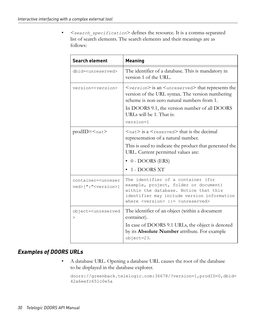• <*search\_specification*> defines the resource. It is a comma-separated list of search elements. The search elements and their meanings are as follows:

| <b>Search element</b>                                               | <b>Meaning</b>                                                                                                                                                                                                                                                       |
|---------------------------------------------------------------------|----------------------------------------------------------------------------------------------------------------------------------------------------------------------------------------------------------------------------------------------------------------------|
| dbid= <unreserved></unreserved>                                     | The identifier of a database. This is mandatory in<br>version 1 of the URL.                                                                                                                                                                                          |
| version= <version></version>                                        | $\leq$ version $\geq$ is an $\leq$ unreserved $\geq$ that represents the<br>version of the URL syntax. The version numbering<br>scheme is non-zero natural numbers from 1.<br>In DOORS 9.1, the version number of all DOORS<br>URLs will be 1. That is:<br>version=1 |
| $prodID=nat>$                                                       | $\langle$ at $\rangle$ is a $\langle$ reserved $\rangle$ that is the decimal<br>representation of a natural number.<br>This is used to indicate the product that generated the<br>URL. Current permitted values are:<br>$\bullet$ 0 - DOORS (ERS)<br>• 1 - DOORS XT  |
| container= <unreser<br>ved&gt;[":"<version>]</version></unreser<br> | The identifier of a container (for<br>example, project, folder or document)<br>within the database. Notice that this<br>identifier may include version information<br>where <version> ::= <unreserved></unreserved></version>                                        |
| object= <unreserved<br><math>\rm{&gt;}</math></unreserved<br>       | The identifier of an object (within a document<br>container).<br>In case of DOORS 9.1 URLs, the object is denoted<br>by its <b>Absolute Number</b> attribute. For example<br>object=23.                                                                              |

### <span id="page-37-0"></span>*Examples of DOORS URLs*

• A database URL. Opening a database URL causes the root of the database to be displayed in the database explorer.

```
doors://greenback.telelogic.com:36678/?version=1,prodID=0,dbid=
42a6eefc651c0e5a
```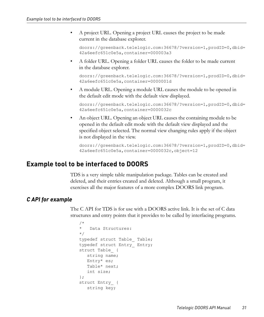• A project URL. Opening a project URL causes the project to be made current in the database explorer.

```
doors://greenback.telelogic.com:36678/?version=1,prodID=0,dbid=
42a6eefc651c0e5a,container=000003a3
```
• A folder URL. Opening a folder URL causes the folder to be made current in the database explorer.

```
doors://greenback.telelogic.com:36678/?version=1,prodID=0,dbid=
42a6eefc651c0e5a,container=0000001d
```
• A module URL. Opening a module URL causes the module to be opened in the default edit mode with the default view displayed.

doors://greenback.telelogic.com:36678/?version=1,prodID=0,dbid= 42a6eefc651c0e5a,container=0000032c

• An object URL. Opening an object URL causes the containing module to be opened in the default edit mode with the default view displayed and the specified object selected. The normal view changing rules apply if the object is not displayed in the view.

doors://greenback.telelogic.com:36678/?version=1,prodID=0,dbid= 42a6eefc651c0e5a,container=0000032c,object=12

## <span id="page-38-0"></span>**Example tool to be interfaced to DOORS**

TDS is a very simple table manipulation package. Tables can be created and deleted, and their entries created and deleted. Although a small program, it exercises all the major features of a more complex DOORS link program.

#### <span id="page-38-1"></span>*C API for example*

The C API for TDS is for use with a DOORS active link. It is the set of C data structures and entry points that it provides to be called by interfacing programs.

```
/*
   Data Structures:
*/
typedef struct Table Table;
typedef struct Entry Entry;
struct Table_ { 
    string name; 
   Entry* es; 
   Table* next;
   int size; 
};
struct Entry_ { 
    string key;
```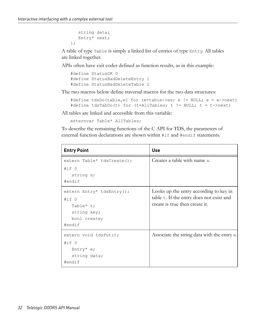```
 string data; 
    Entry* next; 
};
```
A table of type Table is simply a linked list of entries of type Entry. All tables are linked together.

APIs often have exit codes defined as function results, as in this example:

```
#define StatusOK 0 
#define StatusBadDeleteEntry 1
#define StatusBadDeleteTable 2
```
The two macros below define traversal macros for the two data structures:

```
#define tdsDo(table,e) for (e=table->es; e != NULL; e = e->next)
#define tdsTabDo(t) for (t=AllTables; t != NULL; t = t->next)
```
All tables are linked and accessible from this variable:

```
externvar Table* AllTables;
```
To describe the remaining functions of the C API for TDS, the parameters of external function declarations are shown within #if and #endif statements.

| <b>Entry Point</b>         | Use                                         |
|----------------------------|---------------------------------------------|
| extern Table* tdsCreate(); | Creates a table with name s.                |
| #if 0                      |                                             |
| string s;                  |                                             |
| #endif                     |                                             |
| extern Entry* tdsEntry();  | Looks up the entry according to key in      |
| #if 0                      | table t. If the entry does not exist and    |
| Table* $t$ ;               | create is true then create it.              |
| string key;                |                                             |
| bool create;               |                                             |
| #endif                     |                                             |
| extern void tdsPut();      | Associate the string data with the entry e. |
| #if 0                      |                                             |
| Entry* $e$ ;               |                                             |
| string data;               |                                             |
| #endif                     |                                             |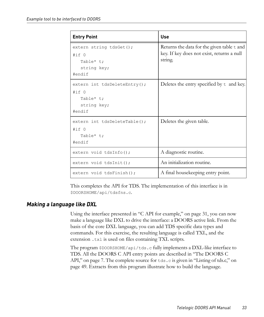| <b>Entry Point</b>                                                             | Use                                                                                                   |
|--------------------------------------------------------------------------------|-------------------------------------------------------------------------------------------------------|
| extern string tdsGet();<br>#if 0<br>Table* $t$ :<br>string key;<br>#endif      | Returns the data for the given table $t$ and<br>key. If key does not exist, returns a null<br>string. |
| extern int tdsDeleteEntry();<br>#if 0<br>Table* $t$ :<br>string key;<br>#endif | Deletes the entry specified by $t$ and key.                                                           |
| extern int tdsDeleteTable();<br>#if 0<br>Table* t;<br>#endif                   | Deletes the given table.                                                                              |
| extern void tdsInfo();                                                         | A diagnostic routine.                                                                                 |
| extern void tdsInit();                                                         | An initialization routine.                                                                            |
| extern void tdsFinish();                                                       | A final housekeeping entry point.                                                                     |

This completes the API for TDS. The implementation of this interface is in \$DOORSHOME/api/tdsfns.c.

#### <span id="page-40-0"></span>*Making a language like DXL*

Using the interface presented in ["C API for example," on page 31](#page-38-1), you can now make a language like DXL to drive the interface: a DOORS active link. From the basis of the core DXL language, you can add TDS specific data types and commands. For this exercise, the resulting language is called TXL, and the extension .txl is used on files containing TXL scripts.

The program \$DOORSHOME/api/tds.c fully implements a DXL-like interface to TDS. All the DOORS C API entry points are described in ["The DOORS C](#page-14-5)  [API," on page 7.](#page-14-5) The complete source for tds.c is given in ["Listing of tds.c," on](#page-56-1)  [page 49.](#page-56-1) Extracts from this program illustrate how to build the language.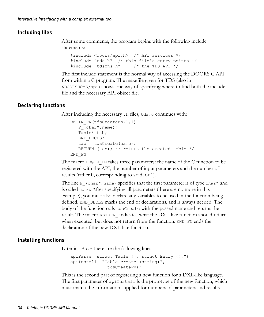#### **Including files**

After some comments, the program begins with the following include statements:

```
#include <doors/api.h> /* API services */
#include "tds.h" /* this file's entry points */
#include "tdsfns.h" /* the TDS API */
```
The first include statement is the normal way of accessing the DOORS C API from within a C program. The makefile given for TDS (also in \$DOORSHOME/api) shows one way of specifying where to find both the include file and the necessary API object file.

#### **Declaring functions**

After including the necessary .h files, tds.c continues with:

```
BEGIN_FN(tdsCreateFn, 1, 1)
   P (char*, name) ;
    Table* tab; 
   END_DECLS;
    tab = tdsCreate(name);
   RETURN (tab); /* return the created table */END_FN
```
The macro BEGIN FN takes three parameters: the name of the C function to be registered with the API, the number of input parameters and the number of results (either 0, corresponding to void, or 1).

The line P (char\*, name) specifies that the first parameter is of type char\* and is called name. After specifying all parameters (there are no more in this example), you must also declare any variables to be used in the function being defined. END\_DECLS marks the end of declarations, and is always needed. The body of the function calls tdsCreate with the passed name and returns the result. The macro RETURN\_ indicates what the DXL-like function should return when executed, but does not return from the function. END\_FN ends the declaration of the new DXL-like function.

#### **Installing functions**

Later in tds.c there are the following lines:

```
apiParse("struct Table \{\}; struct Entry \{\};");
apiInstall ("Table create (string)",
               tdsCreateFn);
```
This is the second part of registering a new function for a DXL-like language. The first parameter of apiInstall is the prototype of the new function, which must match the information supplied for numbers of parameters and results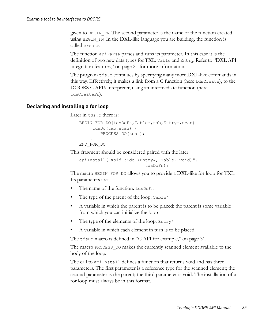given to BEGIN\_FN. The second parameter is the name of the function created using BEGIN FN. In the DXL-like language you are building, the function is called create.

The function apiParse parses and runs its parameter. In this case it is the definition of two new data types for TXL: Table and Entry. Refer to ["DXL API](#page-28-4)  [integration features," on page 21](#page-28-4) for more information.

The program tds.c continues by specifying many more DXL-like commands in this way. Effectively, it makes a link from a C function (here tdsCreate), to the DOORS C API's interpreter, using an intermediate function (here tdsCreateFn).

#### **Declaring and installing a for loop**

Later in tds.c there is:

```
BEGIN_FOR_DO(tdsDoFn,Table*,tab,Entry*,scan)
      tdsDo(tab,scan) {
        PROCESS DO(scan);
 }
END_FOR_DO
```
This fragment should be considered paired with the later:

apiInstall("void ::do (Entry&, Table, void)", tdsDoFn);

The macro BEGIN FOR DO allows you to provide a DXL-like for loop for TXL. Its parameters are:

- The name of the function: tdsDoFn
- The type of the parent of the loop: Table\*
- A variable in which the parent is to be placed; the parent is some variable from which you can initialize the loop
- The type of the elements of the loop: Entry\*
- A variable in which each element in turn is to be placed

The tdsDo macro is defined in ["C API for example," on page 31.](#page-38-1)

The macro PROCESS DO makes the currently scanned element available to the body of the loop.

The call to apiInstall defines a function that returns void and has three parameters. The first parameter is a reference type for the scanned element; the second parameter is the parent; the third parameter is void. The installation of a for loop must always be in this format.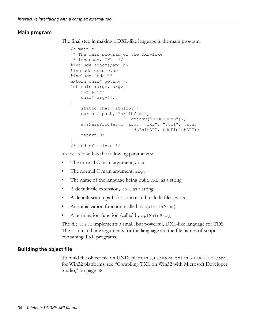#### **Main program**

The final step in making a DXL-like language is the main program:

```
/* main.c
  * The main program of the DXL-like 
 * language, TXL */
#include <doors/api.h>
#include <stdio.h>
#include "tds.h"
extern char* geteny();
int main (argc, argv)
    int argc;
    char* argv[];
{
    static char path[255];
     sprintf(path,"%s/lib/txl", 
                         getenv("DOORSHOME"));
     apiMainProg(argc, argv, "TXL", ".txl", path, 
                        tdsInitAPI, tdsFinishAPI);
     return 0;
}
/* end of main.c */
```
apiMainProg has the following parameters:

- The normal C main argument, argo
- The normal C main argument, argv
- The name of the language being built, TXL, as a string
- A default file extension, .txl, as a string
- A default search path for source and include files, path
- An initialization function (called by apiMainProg)
- A termination function (called by apiMainProg)

The file tds.c implements a small, but powerful, DXL-like language for TDS. The command line arguments for the language are the file names of scripts containing TXL programs.

#### **Building the object file**

To build the object file on UNIX platforms, use make txl in \$DOORSHOME/api; for Win32 platforms, see ["Compiling TXL on Win32 with Microsoft Developer](#page-45-0)  [Studio," on page 38](#page-45-0).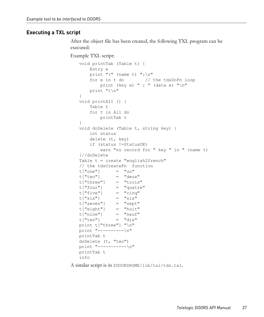#### **Executing a TXL script**

After the object file has been created, the following TXL program can be executed:

Example TXL script:

```
void printTab (Table t) { 
     Entry e
   print "(" (name t) ":\n"
     for e in t do // the tdsDoFn loop 
       print (key e) " : " (data e) "\n\times"
     print ")\n" 
}
void printAll () {
    Table t 
     for t in All do 
        printTab t 
}
void doDelete (Table t, string key) { 
    int status
     delete (t, key) 
     if (status !=StatusOK) 
         warn "no record for " key " in " (name t)
}//doDelete
Table t = create "english2french" 
// the tdsCreateFn function 
t['one"] = "un"
t['two"] = "deux"t["three"] = "trois" 
t["four"] = "quatre" 
t['five"] = "cinq"
t['six"] = "six"
t["seven"] = "sept" 
t["eight"] = "huit" 
t["nine"] = "neuf" 
t['ten"] = "div"print t["three"] "\n" 
print "----------\n" 
printTab t 
doDelete (t, "two") 
print "-----------\n" 
printTab t
info
```
A similar script is in \$DOORSHOME/lib/txl/tds.txl.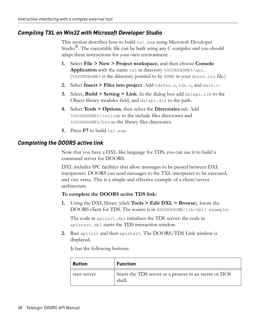#### <span id="page-45-0"></span>*Compiling TXL on Win32 with Microsoft Developer Studio*

This section describes how to build  $txl$  exe using Microsoft Developer Studio<sup>®</sup>. The executable file can be built using any C compiler and you should adapt these instructions for your own environment.

- **1.** Select **File > New > Project workspace**, and then choose **Console Application** with the name txl in directory %DOORSHOME%/api. (%DOORSHOME% is the directory pointed to by HOME in your doors.ini file.)
- **2.** Select **Insert > Files into project**. Add tdsfns.c, tds.c, and main.c.
- **3.** Select, **Build > Setting > Link**. In the dialog box add  $dx$ lapi. lib to the Object library modules field, and dxlapi.dll to the path.
- **4.** Select **Tools > Options**, then select the **Directories** tab. Add %DOORSHOME%/include to the include files directories and %DOORSHOME%/bin to the library files directories.
- **5.** Press **F7** to build txl.exe.

#### <span id="page-45-1"></span>*Completing the DOORS active link*

Now that you have a DXL-like language for TDS, you can use it to build a command server for DOORS.

DXL includes IPC facilities that allow messages to be passed between DXL interpreters. DOORS can send messages to the TXL interpreter to be executed, and vice versa. This is a simple and effective example of a client/server architecture.

#### **To complete the DOORS active TDS link:**

**1.** Using the DXL library (click **Tools > Edit DXL > Browse**), locate the DOORS client for TDS. The source is in \$DOORSHOME/lib/dxl/ example:

The code in apiinit.dxl initializes the TDS server; the code in apistart.dxl starts the TDS interaction window.

**2.** Run apiinit and then apistart. The DOORS/TDS Link window is displayed.

It has the following buttons:

| Button       | <b>Function</b>                                                 |
|--------------|-----------------------------------------------------------------|
| start server | Starts the TDS server as a process in an xterm or DOS<br>shell. |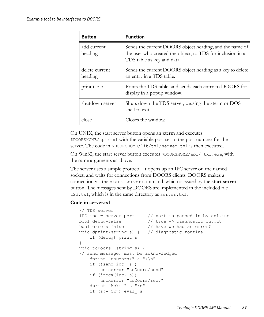| <b>Button</b>             | <b>Function</b>                                                                                                                                     |
|---------------------------|-----------------------------------------------------------------------------------------------------------------------------------------------------|
| add current<br>heading    | Sends the current DOORS object heading, and the name of<br>the user who created the object, to TDS for inclusion in a<br>TDS table as key and data. |
| delete current<br>heading | Sends the current DOORS object heading as a key to delete<br>an entry in a TDS table.                                                               |
| print table               | Prints the TDS table, and sends each entry to DOORS for<br>display in a popup window.                                                               |
| shutdown server           | Shuts down the TDS server, causing the xterm or DOS<br>shell to exit.                                                                               |
| close                     | Closes the window.                                                                                                                                  |

On UNIX, the start server button opens an xterm and executes \$DOORSHOME/api/txl with the variable port set to the port number for the server. The code in \$DOORSHOME/lib/txl/server.txl is then executed.

On Win32, the start server button executes \$DOORSHOME/api/ txl.exe, with the same arguments as above.

The server uses a simple protocol. It opens up an IPC server on the named socket, and waits for connections from DOORS clients. DOORS makes a connection via the start server command, which is issued by the **start server** button. The messages sent by DOORS are implemented in the included file t2d.txl, which is in the same directory as server.txl.

#### **Code in server.txl**

```
// TDS server
IPC ipc = server port // port is passed in by api.inc
bool debug=false // true => diagnostic output
bool errors=false // have we had an error?
void dprint(string s) { // diagnostic routine
     if (debug) print s
}
void toDoors (string s) { 
// send message, must be acknowledged
     dprint "toDoors(" s ")\n"
     if (!send(ipc, s))
        unixerror "toDoors/send"
     if (!recv(ipc, s))
        unixerror "toDoors/recv"
     dprint "Ack: " s "\n"
     if (s!="OK") eval_ s
```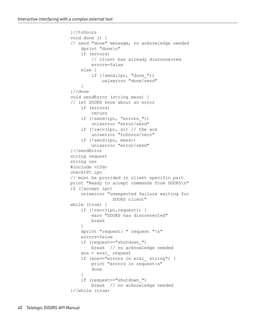```
}//toDoors
void done () { 
// send "done" message, no acknowledge needed
     dprint "done\n"
     if (errors)
         // client has already disconnected
         errors=false
     else {
        if (!send(ipc, "done "))
             unixerror "done/send"
     }
}//done
void sendError (string mess) { 
// let DOORS know about an error
     if (errors)
         return
    if (!send(ipc, "errors "))
         unixerror "error/send"
     if (!recv(ipc, s)) // the ack
         unixerror "toDoors/recv"
     if (!send(ipc, mess))
         unixerror "error/send"
}//sendError
string request
string res
#include <t2d>
checkIPC ipc 
// must be provided in client specific part
print "Ready to accept commands from DOORS\n"
if (!accept ipc) 
     unixerror "unexpected failure waiting for
                 DOORS client"
while (true) {
     if (!recv(ipc,request)) {
         warn "DOORS has disconnected"
         break
 }
     dprint "request: " request "\n"
     errors=false
     if (request=="shutdown_")
         break // no acknowledge needed
     ans = eval_ request
     if (ans=="errors in eval_ string") {
         print "errors in request\n"
         done
     }
     if (request=="shutdown_")
         break // no acknowledge needed
}//while (true)
```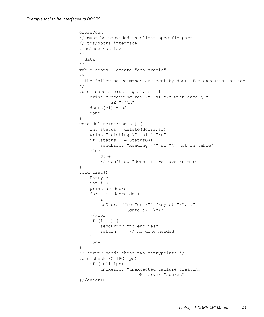```
closeDown 
// must be provided in client specific part
// tds/doors interface
#include <utils>
/*
   data
*/
Table doors = create "doorsTable"
/*
   the following commands are sent by doors for execution by tds
*/
void associate(string s1, s2) { 
    print "receiving key \"" s1 "\" with data \""
             s2 "\n\prime"\n\cdot n"doors[s1] = s2 done 
}
void delete(string s1) { 
    int status = delete(doors, s1)
    print "deleting \"" s1 "\"\n"
     if (status ! = StatusOK) 
        sendError "Heading \"" s1 "\" not in table"
     else 
         done 
         // don't do "done" if we have an error
}
void list() { 
     Entry e 
     int i=0 
     printTab doors
     for e in doors do { 
        i++toDoors "fromTds(\Upsilon"" (key e) "\Upsilon", \Upsilon""
                    (data e) "\\" }//for
     if (i==0) {
         sendError "no entries"
         return // no done needed 
     } 
     done 
}
/* server needs these two entrypoints */
void checkIPC(IPC ipc) { 
     if (null ipc) 
         unixerror "unexpected failure creating
                       TDS server "socket"
}//checkIPC
```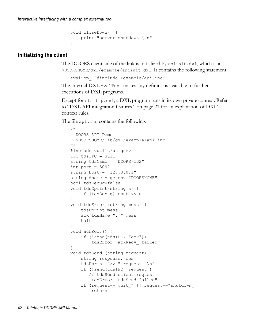```
void closeDown() { 
     print "server shutdown \ n" 
}
```
#### **Initializing the client**

The DOORS client side of the link is initialized by apiinit.dxl, which is in \$DOORSHOME/dxl/example/apiinit.dxl. It contains the following statement:

```
evalTop_ "#include <example/api.inc>"
```
The internal DXL evalTop makes any definitions available to further executions of DXL programs.

Except for startup.dxl, a DXL program runs in its own private context. Refer to ["DXL API integration features," on page 21](#page-28-4) for an explanation of DXL's context rules.

The file api.inc contains the following:

```
/*
   DOORS API Demo
   $DOORSHOME/lib/dxl/example/api.inc
*/
#include <utils/unique>
IPC tdsIPC = null
string tdsName = "DOORS/TDS"
int port = 5097string host = "127.0.0.1"
string dhome = getenv "DOORSHOME"
bool tdsDebug=false
void tdsDprint(string s) {
     if (tdsDebug) cout << s
}
void tdsError (string mess) {
     tdsDprint mess
     ack tdsName ": " mess
     halt
}
void ackRecv() {
     if (!send(tdsIPC, "ack"))
         tdsError "ackRecv_ failed"
}
void tdsSend (string request) {
     string response, res
     tdsDprint ">> " request "\n"
     if (!send(tdsIPC, request)) 
        // tdsSend client request
         tdsError "tdsSend failed"
    if (request=="quit " || request=="shutdown ")
         return
```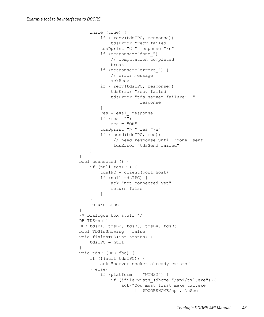```
 while (true) {
         if (!recv(tdsIPC, response))
             tdsError "recv failed"
         tdsDprint "< " response "\n"
         if (response=="done_") 
             // computation completed
             break
         if (response=="errors_") { 
             // error message
             ackRecv
         if (!recv(tdsIPC, response))
             tdsError "recv failed"
             tdsError "tds server failure: "
                         response
 }
         res = eval_ response
         if (res=="") 
            res = "OK" tdsDprint "> " res "\n"
         if (!send(tdsIPC, res)) 
              // need response until "done" sent
              tdsError "tdsSend failed"
     }
}
bool connected () {
     if (null tdsIPC) {
        tdsIPC = client(port, host) if (null tdsIPC) {
             ack "not connected yet"
             return false
 }
     }
     return true
}
/* Dialogue box stuff */
DB TDS=null
DBE tdsB1, tdsB2, tdsB3, tdsB4, tdsB5
bool TDSIsShowing = false
void finishTDS(int status) {
     tdsIPC = null
}
void tdsF1(DBE dbe) {
     if (!(null tdsIPC)) {
         ack "server socket already exists"
     } else{
         if (platform == "WIN32") {
            if (!fileExists (dhome "/api/txl.exe")) {
                  ack("You must first make txl.exe
                       in $DOORSHOME/api. \nSee
```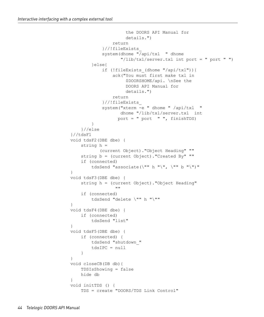```
 the DOORS API Manual for
                      details.")
                 return
             }//!fileExists_
             system(dhome "/api/txl " dhome
                    ''/\text{lib/txl/server.txl} int port = " port " ")
         }else{
            if (!fileExists (dhome "/api/txl")) {
                 ack("You must first make txl in
                       $DOORSHOME/api. \nSee the
                       DOORS API Manual for
                      details.")
                 return
             }//!fileExists_
             system("xterm -e " dhome " /api/txl "
                    dhome "/lib/txl/server.txl int
                   port = " port " ", finishTDS)
 }
     }//else
}//tdsF1
void tdsF2(DBE dbe) {
     string h = 
            (current Object)."Object Heading" ""
     string b = (current Object)."Created By" ""
     if (connected)
         tdsSend "associate(\"" h "\", \"" b "\")"
}
void tdsF3(DBE dbe) {
     string h = (current Object)."Object Heading"
 ""
     if (connected)
        tdsSend "delete \"" h "\""
}
void tdsF4(DBE dbe) {
     if (connected)
         tdsSend "list"
}
void tdsF5(DBE dbe) {
     if (connected) {
         tdsSend "shutdown_" 
         tdsIPC = null
     }
}
void closeCB(DB db){
    TDSIsShowing = false
    hide db
}
void initTDS () {
    TDS = create "DOORS/TDS Link Control"
```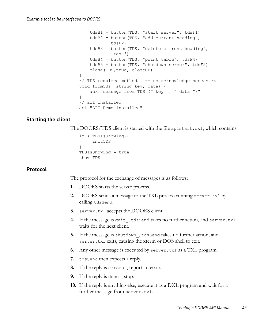```
 tdsB1 = button(TDS, "start server", tdsF1)
     tdsB2 = button(TDS, "add current heading",
            tdsF2)
     tdsB3 = button(TDS, "delete current heading",
              tdsF3)
     tdsB4 = button(TDS, "print table", tdsF4)
     tdsB5 = button(TDS, "shutdown server", tdsF5)
     close(TDS,true, closeCB)
}
// TDS required methods -- no acknowledge necessary
void fromTds (string key, data) {
     ack "message from TDS (" key ", " data ")"
}
// all installed
ack "API Demo installed"
```
#### **Starting the client**

The DOORS/TDS client is started with the file apistart.dxl, which contains:

```
if (!TDSIsShowing){
      initTDS
}
TDSIsShowing = true
show TDS
```
#### **Protocol**

The protocol for the exchange of messages is as follows:

- **1.** DOORS starts the server process.
- **2.** DOORS sends a message to the TXL process running server.txl by calling tdsSend.
- **3.** server.txl accepts the DOORS client.
- **4.** If the message is quit\_, tdsSend takes no further action, and server.txl waits for the next client.
- **5.** If the message is shutdown\_, tdsSend takes no further action, and server.txl exits, causing the xterm or DOS shell to exit.
- **6.** Any other message is executed by server.txl as a TXL program.
- **7.** tdsSend then expects a reply.
- **8.** If the reply is errors, report an error.
- **9.** If the reply is done\_, stop.
- **10.** If the reply is anything else, execute it as a DXL program and wait for a further message from server.txl.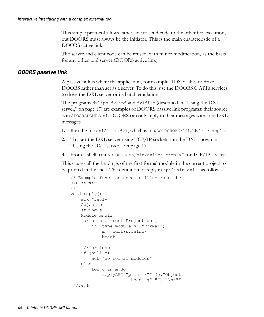This simple protocol allows either side to send code to the other for execution, but DOORS must always be the initiator. This is the main characteristic of a DOORS active link.

The server and client code can be reused, with minor modification, as the basis for any other tool server (DOORS active link).

#### <span id="page-53-0"></span>*DOORS passive link*

A passive link is where the application, for example, TDS, wishes to drive DOORS rather than act as a server. To do this, use the DOORS C API's services to drive the DXL server or its batch emulation.

The programs dxlips, dxlipf and dxlfile (described in ["Using the DXL](#page-24-3)  [server," on page 17\)](#page-24-3) are examples of DOORS passive link programs; their source is in \$DOORSHOME/api. DOORS can only reply to their messages with core DXL messages.

- **1.** Run the file api2init.dxl, which is in \$DOORSHOME/lib/dxl/ example.
- **2.** To start the DXL server using TCP/IP sockets run the DXL shown in ["Using the DXL server," on page 17.](#page-24-3)
- **3.** From a shell, run \$DOORSHOME/bin/dxlips "reply" for TCP/IP sockets.

This causes all the headings of the first formal module in the current project to be printed in the shell. The definition of reply in api2init.dxl is as follows:

```
/* Example function used to illustrate the 
DXL server. 
*/
void reply() { 
     ack "reply" 
     Object o 
     string s 
     Module mnull
     for s in current Project do { 
          if (type module s "Formal") { 
            m = edit(s, false)
             break 
          } 
     }//for loop
     if (null m) 
         ack "no formal modules" 
     else 
          for o in m do 
             replyAPI "print \"" (o."Object
                          Heading" "") "\n\""
}//reply
```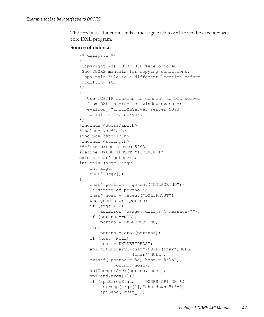The replyAPI function sends a message back to dxlips to be executed as a core DXL program.

#### **Source of dxlips.c**

```
/* dxlips.c */
/*
 Copyright (c) 1993-2000 Telelogic AB.
  See DOORS manuals for copying conditions.
 Copy this file to a different location before
 modifying it.
*/
/*
    Use TCP/IP sockets to connect to DXL server
    from DXL interaction window execute:
    evalTop_ "initDXLServer server 5093" 
    to initialize server.
*/
#include <doors/api.h>
#include <stdio.h>
#include <stdlib.h>
#include <string.h>
#define DXLDEFPORTNO 5093
#define DXLDEFIPHOST "127.0.0.1"
extern char* getenv();
int main (argc, argv)
     int argc;
     char* argv[];
{
     char* portnos = getenv("DXLPORTNO"); 
     /* string of portno */
     char* host = getenv("DXLIPHOST");
     unsigned short portno;
    if (argc \langle 2 \rangle apiError("usage: dxlips \"message\"");
     if (portnos==NULL)
         portno = DXLDEFPORTNO;
     else
         portno = atoi(portnos);
     if (host==NULL)
         host = DXLDEFIPHOST;
     apiInitLibrary((char*)NULL,(char*)NULL,
                      (char*) NULL);printf("portno = d, host = s \n\rightharpoonup n",
               portno, host);
     apiConnectSock(portno, host);
     apiSend(argv[1]);
     if (apiErrorState == DOORS_API_OK &&
         strcmp(argv[1], "shutdown ") !=0)
         apiSend("quit_");
```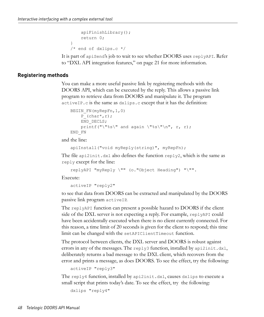```
 apiFinishLibrary();
     return 0;
}
/* end of dxlips.c */
```
It is part of apiSend's job to wait to see whether DOORS uses replyAPI. Refer to ["DXL API integration features," on page 21](#page-28-4) for more information.

#### **Registering methods**

You can make a more useful passive link by registering methods with the DOORS API, which can be executed by the reply. This allows a passive link program to retrieve data from DOORS and manipulate it. The program activeIP.c is the same as dxlips.c except that it has the definition:

```
BEGIN FN(myRepFn, 1,0)
    P (char*,r);END DECLS;
    printf("\"%s\" and again \"%s\"\n", r, r);
END_FN
```
and the line:

```
apiInstall("void myReply(string)", myRepFn);
```
The file api2init.dxl also defines the function reply2, which is the same as reply except for the line:

replyAPI "myReply \"" (o."Object Heading") "\"".

Execute:

activeIP "reply2"

to see that data from DOORS can be extracted and manipulated by the DOORS passive link program activeIP.

The replyAPI function can present a possible hazard to DOORS if the client side of the DXL server is not expecting a reply. For example, replyAPI could have been accidentally executed when there is no client currently connected. For this reason, a time limit of 20 seconds is given for the client to respond; this time limit can be changed with the setAPIClientTimeout function.

The protocol between clients, the DXL server and DOORS is robust against errors in any of the messages. The reply3 function, installed by api2init.dxl, deliberately returns a bad message to the DXL client, which recovers from the error and prints a message, as does DOORS. To see the effect, try the following:

activeIP "reply3"

The reply4 function, installed by api2init.dxl, causes dxlips to execute a small script that prints today's date. To see the effect, try the following:

```
dxlips "reply4"
```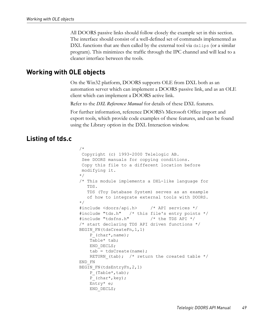All DOORS passive links should follow closely the example set in this section. The interface should consist of a well-defined set of commands implemented as DXL functions that are then called by the external tool via  $dx\log$  (or a similar program). This minimizes the traffic through the IPC channel and will lead to a cleaner interface between the tools.

## <span id="page-56-0"></span>**Working with OLE objects**

On the Win32 platform, DOORS supports OLE from DXL both as an automation server which can implement a DOORS passive link, and as an OLE client which can implement a DOORS active link.

Refer to the *DXL Reference Manual* for details of these DXL features.

For further information, reference DOORS's Microsoft Office import and export tools, which provide code examples of these features, and can be found using the Library option in the DXL Interaction window.

## <span id="page-56-2"></span><span id="page-56-1"></span>**Listing of tds.c**

```
/*
  Copyright (c) 1993-2000 Telelogic AB.
  See DOORS manuals for copying conditions.
 Copy this file to a different location before
 modifying it.
*/
/* This module implements a DXL-like language for
    TDS.
    TDS (Toy Database System) serves as an example
    of how to integrate external tools with DOORS.
*/
#include <doors/api.h> /* API services */
#include "tds.h" /* this file's entry points */
#include "tdsfns.h" /* the TDS API */
/* start declaring TDS API driven functions */
BEGIN FN(tdsCreateFn, 1, 1)
    P (char*, name);
     Table* tab;
   END_DECLS;
    tab = tdsCreate(name);RETURN (tab); /* return the created table */END_FN
BEGIN FN(tdsEntryFn, 2, 1)
    P (Table*,tab);
     P_(char*,key);
     Entry* e;
     END_DECLS;
```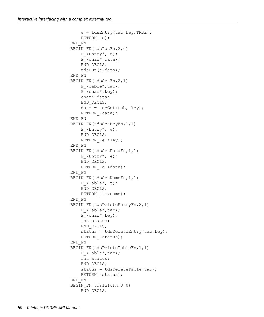```
e = tdsEntry(tab, key, TRUE);
     RETURN_(e);
END_FN
BEGIN FN(tdsPutFn, 2,0)
    P (Entry*, e);
    P (char*,data);
    END DECLS;
     tdsPut(e,data);
END_FN
BEGIN FN(tdsGetFn, 2, 1)
    P (Table*,tab);
     P_(char*,key);
     char* data;
     END_DECLS;
    data = tdsGet(tab, key);RETURN (data);
END_FN
BEGIN_FN(tdsGetKeyFn, 1, 1)
    P (Entry*, e); END_DECLS;
     RETURN_(e->key);
END_FN
BEGIN_FN(tdsGetDataFn,1,1)
     P_(Entry*, e);
     END_DECLS;
    RETURN (e->data);
END_FN
BEGIN FN(tdsGetNameFn, 1, 1)
     P_(Table*, t);
    END DECLS;
    RETURN (t->name);
END_FN
BEGIN_FN(tdsDeleteEntryFn, 2, 1)
    P (Table*,tab);
    P_{a}(char*, key);
     int status;
     END_DECLS;
    status = tdsDeleteEntry(tab, key) ;
     RETURN_(status);
END_FN
BEGIN FN(tdsDeleteTableFn, 1, 1)
    P (Table*,tab);
     int status;
    END DECLS;
     status = tdsDeleteTable(tab);
    RETURN (status);
END_FN
BEGIN_FN(tdsInfoFn,0,0)
    END DECLS;
```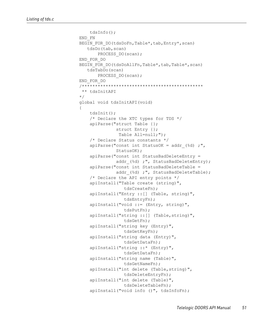```
 tdsInfo();
END_FN
BEGIN_FOR_DO(tdsDoFn,Table*,tab,Entry*,scan)
    tdsDo(tab,scan)
        PROCESS_DO(scan);
END_FOR_DO
BEGIN_FOR_DO(tdsDoAllFn,Table*,tab,Table*,scan)
    tdsTabDo(scan)
       PROCESS DO(scan);
END_FOR_DO
/**********************************************
  ** tdsInitAPI
*/
global void tdsInitAPI(void)
{
     tdsInit();
     /* Declare the XTC types for TDS */
     apiParse("struct Table {}; 
               struct Entry {}; 
                Table All=null;");
     /* Declare Status constants */
     apiParse("const int StatusOK = addr_(%d) ;",
              StatusOK);
     apiParse("const int StatusBadDeleteEntry =
              addr (%d) ;", StatusBadDeleteEntry);
     apiParse("const int StatusBadDeleteTable =
              addr (%d) ;", StatusBadDeleteTable);
     /* Declare the API entry points */
     apiInstall("Table create (string)",
                   tdsCreateFn);
     apiInstall("Entry ::[] (Table, string)",
                   tdsEntryFn);
     apiInstall("void ::= (Entry, string)",
                   tdsPutFn);
     apiInstall("string ::[] (Table,string)",
                   tdsGetFn);
     apiInstall("string key (Entry)",
                   tdsGetKeyFn);
     apiInstall("string data (Entry)",
                   tdsGetDataFn);
     apiInstall("string ::* (Entry)",
                   tdsGetDataFn);
     apiInstall("string name (Table)",
                   tdsGetNameFn);
     apiInstall("int delete (Table,string)",
                   tdsDeleteEntryFn);
     apiInstall("int delete (Table)",
                   tdsDeleteTableFn);
     apiInstall("void info ()", tdsInfoFn);
```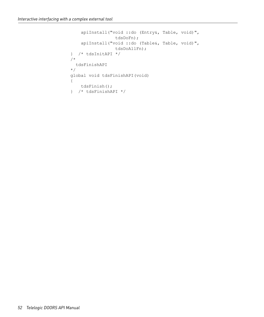```
 apiInstall("void ::do (Entry&, Table, void)",
                  tdsDoFn);
     apiInstall("void ::do (Table&, Table, void)",
                  tdsDoAllFn);
} /* tdsInitAPI */
/*
  tdsFinishAPI
*/
global void tdsFinishAPI(void)
{
    tdsFinish();
} /* tdsFinishAPI */
```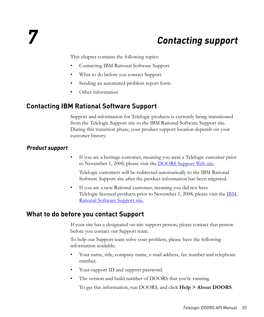## *7 Contacting support*

<span id="page-60-0"></span>This chapter contains the following topics:

- [Contacting IBM Rational Software Support](#page-60-1)
- [What to do before you contact Support](#page-60-3)
- [Sending an automated problem report form](#page-61-0)
- [Other information](#page-63-2)

## <span id="page-60-1"></span>**Contacting IBM Rational Software Support**

Support and information for Telelogic products is currently being transitioned from the Telelogic Support site to the IBM Rational Software Support site. During this transition phase, your product support location depends on your customer history.

#### <span id="page-60-2"></span>*Product support*

• If you are a heritage customer, meaning you were a Telelogic customer prior to November 1, 2008, please visit the **DOORS** Support Web site.

Telelogic customers will be redirected automatically to the IBM Rational Software Support site after the product information has been migrated.

If you are a new Rational customer, meaning you did not have Telelogic-licensed products prior to November 1, 2008, please visit the **IBM** [Rational Software Support site.](http://www.ibm.com/software/rational/support/)

## <span id="page-60-3"></span>**What to do before you contact Support**

If your site has a designated on-site support person, please contact that person before you contact our Support team.

To help our Support team solve your problem, please have the following information available:

- Your name, title, company name, e-mail address, fax number and telephone number.
- Your support ID and support password.
- The version and build number of DOORS that you're running.

To get this information, run DOORS, and click **Help > About DOORS**.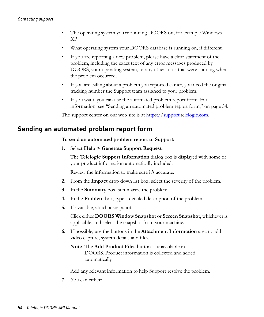- The operating system you're running DOORS on, for example Windows XP.
- What operating system your DOORS database is running on, if different.
- If you are reporting a new problem, please have a clear statement of the problem, including the exact text of any error messages produced by DOORS, your operating system, or any other tools that were running when the problem occurred.
- If you are calling about a problem you reported earlier, you need the original tracking number the Support team assigned to your problem.
- If you want, you can use the automated problem report form. For information, see ["Sending an automated problem report form," on page 54.](#page-61-0)

The support center on our web site is at https://support.telelogic.com.

## <span id="page-61-0"></span>**Sending an automated problem report form**

**To send an automated problem report to Support:**

**1.** Select **Help > Generate Support Request**.

The **Telelogic Support Information** dialog box is displayed with some of your product information automatically included.

Review the information to make sure it's accurate.

- **2.** From the **Impact** drop down list box, select the severity of the problem.
- **3.** In the **Summary** box, summarize the problem.
- **4.** In the **Problem** box, type a detailed description of the problem.
- **5.** If available, attach a snapshot.

Click either **DOORS Window Snapshot** or **Screen Snapshot**, whichever is applicable, and select the snapshot from your machine.

- **6.** If possible, use the buttons in the **Attachment Information** area to add video capture, system details and files.
	- **Note** The **Add Product Files** button is unavailable in DOORS. Product information is collected and added automatically.

Add any relevant information to help Support resolve the problem.

**7.** You can either: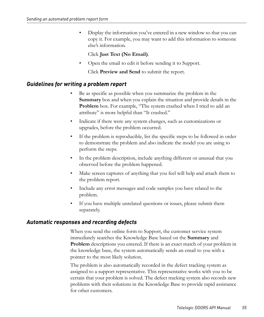• Display the information you've entered in a new window so that you can copy it. For example, you may want to add this information to someone else's information.

#### Click **Just Text (No Email)**.

• Open the email to edit it before sending it to Support.

Click **Preview and Send** to submit the report.

#### <span id="page-62-0"></span>*Guidelines for writing a problem report*

- Be as specific as possible when you summarize the problem in the **Summary** box and when you explain the situation and provide details in the **Problem** box. For example, "The system crashed when I tried to add an attribute" is more helpful than "It crashed."
- Indicate if there were any system changes, such as customizations or upgrades, before the problem occurred.
- If the problem is reproducible, list the specific steps to be followed in order to demonstrate the problem and also indicate the model you are using to perform the steps.
- In the problem description, include anything different or unusual that you observed before the problem happened.
- Make screen captures of anything that you feel will help and attach them to the problem report.
- Include any error messages and code samples you have related to the problem.
- If you have multiple unrelated questions or issues, please submit them separately.

#### <span id="page-62-1"></span>*Automatic responses and recording defects*

When you send the online form to Support, the customer service system immediately searches the Knowledge Base based on the **Summary** and **Problem** descriptions you entered. If there is an exact match of your problem in the knowledge base, the system automatically sends an email to you with a pointer to the most likely solution.

The problem is also automatically recorded in the defect tracking system as assigned to a support representative. This representative works with you to be certain that your problem is solved. The defect tracking system also records new problems with their solutions in the Knowledge Base to provide rapid assistance for other customers.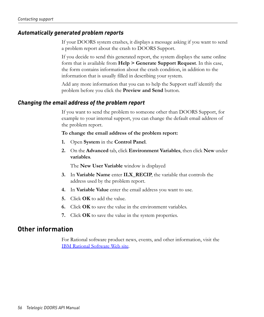#### <span id="page-63-0"></span>*Automatically generated problem reports*

If your DOORS system crashes, it displays a message asking if you want to send a problem report about the crash to DOORS Support.

If you decide to send this generated report, the system displays the same online form that is available from **Help > Generate Support Request**. In this case, the form contains information about the crash condition, in addition to the information that is usually filled in describing your system.

Add any more information that you can to help the Support staff identify the problem before you click the **Preview and Send** button.

#### <span id="page-63-1"></span>*Changing the email address of the problem report*

If you want to send the problem to someone other than DOORS Support, for example to your internal support, you can change the default email address of the problem report.

#### **To change the email address of the problem report:**

- **1.** Open **System** in the **Control Panel**.
- **2.** On the **Advanced** tab, click **Environment Variables**, then click **New** under **variables**.

The **New User Variable** window is displayed

- **3.** In **Variable Name** enter **ILX\_RECIP**, the variable that controls the address used by the problem report.
- **4.** In **Variable Value** enter the email address you want to use.
- **5.** Click **OK** to add the value.
- **6.** Click **OK** to save the value in the environment variables.
- **7.** Click **OK** to save the value in the system properties.

## <span id="page-63-2"></span>**Other information**

For Rational software product news, events, and other information, visit the [IBM Rational Software Web site.](http://www.ibm.com/software/rational/)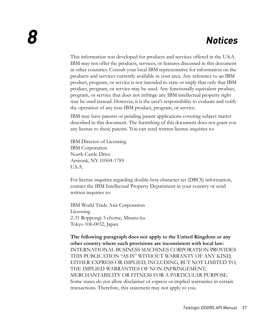# <span id="page-64-1"></span>*8 Notices*

<span id="page-64-0"></span>This information was developed for products and services offered in the U.S.A. IBM may not offer the products, services, or features discussed in this document in other countries. Consult your local IBM representative for information on the products and services currently available in your area. Any reference to an IBM product, program, or service is not intended to state or imply that only that IBM product, program, or service may be used. Any functionally equivalent product, program, or service that does not infringe any IBM intellectual property right may be used instead. However, it is the user's responsibility to evaluate and verify the operation of any non-IBM product, program, or service.

IBM may have patents or pending patent applications covering subject matter described in this document. The furnishing of this document does not grant you any license to these patents. You can send written license inquiries to:

IBM Director of Licensing IBM Corporation North Castle Drive Armonk, NY 10504-1785 U.S.A.

For license inquiries regarding double-byte character set (DBCS) information, contact the IBM Intellectual Property Department in your country or send written inquiries to:

IBM World Trade Asia Corporation Licensing 2-31 Roppongi 3-chome, Minato-ku Tokyo 106-0032, Japan

**The following paragraph does not apply to the United Kingdom or any other country where such provisions are inconsistent with local law:** INTERNATIONAL BUSINESS MACHINES CORPORATION PROVIDES THIS PUBLICATION "AS IS" WITHOUT WARRANTY OF ANY KIND, EITHER EXPRESS OR IMPLIED, INCLUDING, BUT NOT LIMITED TO, THE IMPLIED WARRANTIES OF NON-INFRINGEMENT, MERCHANTABILITY OR FITNESS FOR A PARTICULAR PURPOSE. Some states do not allow disclaimer of express or implied warranties in certain transactions. Therefore, this statement may not apply to you.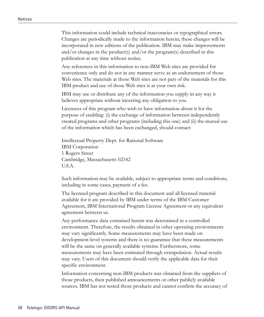This information could include technical inaccuracies or typographical errors. Changes are periodically made to the information herein; these changes will be incorporated in new editions of the publication. IBM may make improvements and/or changes in the product(s) and/or the program(s) described in this publication at any time without notice.

Any references in this information to non-IBM Web sites are provided for convenience only and do not in any manner serve as an endorsement of those Web sites. The materials at those Web sites are not part of the materials for this IBM product and use of those Web sites is at your own risk.

IBM may use or distribute any of the information you supply in any way it believes appropriate without incurring any obligation to you.

Licensees of this program who wish to have information about it for the purpose of enabling: (i) the exchange of information between independently created programs and other programs (including this one) and (ii) the mutual use of the information which has been exchanged, should contact:

Intellectual Property Dept. for Rational Software IBM Corporation 1 Rogers Street Cambridge, Massachusetts 02142 U.S.A.

Such information may be available, subject to appropriate terms and conditions, including in some cases, payment of a fee.

The licensed program described in this document and all licensed material available for it are provided by IBM under terms of the IBM Customer Agreement, IBM International Program License Agreement or any equivalent agreement between us.

Any performance data contained herein was determined in a controlled environment. Therefore, the results obtained in other operating environments may vary significantly. Some measurements may have been made on development-level systems and there is no guarantee that these measurements will be the same on generally available systems. Furthermore, some measurements may have been estimated through extrapolation. Actual results may vary. Users of this document should verify the applicable data for their specific environment.

Information concerning non-IBM products was obtained from the suppliers of those products, their published announcements or other publicly available sources. IBM has not tested those products and cannot confirm the accuracy of